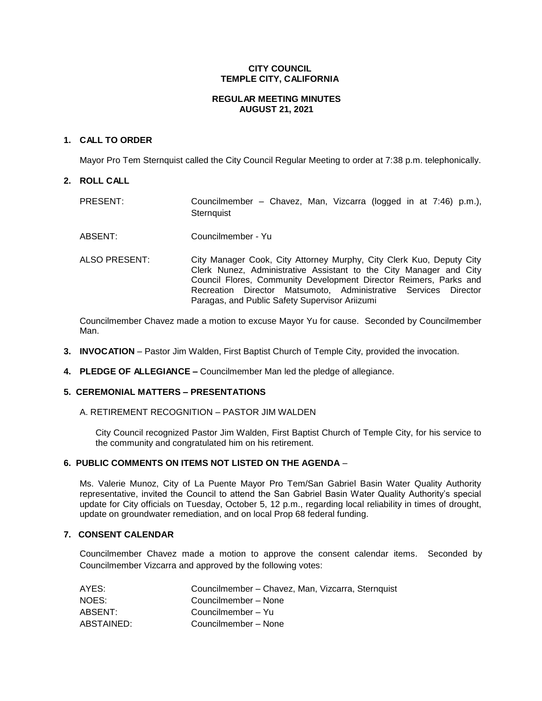# **CITY COUNCIL TEMPLE CITY, CALIFORNIA**

# **REGULAR MEETING MINUTES AUGUST 21, 2021**

# **1. CALL TO ORDER**

Mayor Pro Tem Sternquist called the City Council Regular Meeting to order at 7:38 p.m. telephonically.

# **2. ROLL CALL**

| PRESENT: | Councilmember – Chavez, Man, Vizcarra (logged in at 7:46) p.m.), |  |  |  |  |  |
|----------|------------------------------------------------------------------|--|--|--|--|--|
|          | Sternauist                                                       |  |  |  |  |  |

- ABSENT: Councilmember Yu
- ALSO PRESENT: City Manager Cook, City Attorney Murphy, City Clerk Kuo, Deputy City Clerk Nunez, Administrative Assistant to the City Manager and City Council Flores, Community Development Director Reimers, Parks and Recreation Director Matsumoto, Administrative Services Director Paragas, and Public Safety Supervisor Ariizumi

Councilmember Chavez made a motion to excuse Mayor Yu for cause. Seconded by Councilmember Man.

- **3. INVOCATION** Pastor Jim Walden, First Baptist Church of Temple City, provided the invocation.
- **4. PLEDGE OF ALLEGIANCE –** Councilmember Man led the pledge of allegiance.

### **5. CEREMONIAL MATTERS – PRESENTATIONS**

### A. RETIREMENT RECOGNITION – PASTOR JIM WALDEN

City Council recognized Pastor Jim Walden, First Baptist Church of Temple City, for his service to the community and congratulated him on his retirement.

# **6. PUBLIC COMMENTS ON ITEMS NOT LISTED ON THE AGENDA** –

Ms. Valerie Munoz, City of La Puente Mayor Pro Tem/San Gabriel Basin Water Quality Authority representative, invited the Council to attend the San Gabriel Basin Water Quality Authority's special update for City officials on Tuesday, October 5, 12 p.m., regarding local reliability in times of drought, update on groundwater remediation, and on local Prop 68 federal funding.

### **7. CONSENT CALENDAR**

Councilmember Chavez made a motion to approve the consent calendar items. Seconded by Councilmember Vizcarra and approved by the following votes:

| AYES:      | Councilmember – Chavez, Man, Vizcarra, Sternquist |
|------------|---------------------------------------------------|
| NOES:      | Councilmember - None                              |
| ABSENT:    | Councilmember – Yu                                |
| ABSTAINED: | Councilmember - None                              |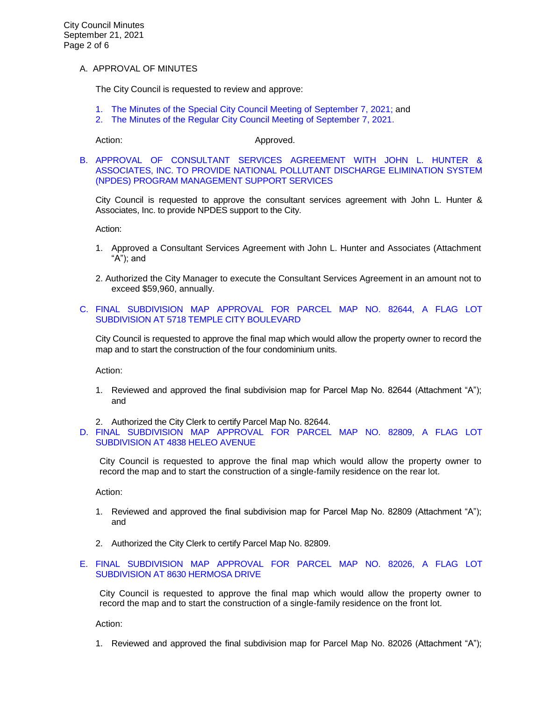## A. APPROVAL OF MINUTES

The City Council is requested to review and approve:

- 1. The Minutes of the Special [City Council Meeting of September 7, 2021;](https://www.ci.temple-city.ca.us/DocumentCenter/View/16761/7A1_CCM---2021-09-07-Special) and
- 2. [The Minutes of the Regular City Council Meeting of September 7, 2021.](https://www.ci.temple-city.ca.us/DocumentCenter/View/16762/7A2_CCM---2021-09-07)

Action: Action: Approved.

[B. APPROVAL OF CONSULTANT SERVICES AGREEMENT WITH JOHN L. HUNTER &](https://www.ci.temple-city.ca.us/DocumentCenter/View/16763/7B_NPDES_Staff-Report_JLHA_edited-9821_w-attachments)  [ASSOCIATES, INC. TO PROVIDE NATIONAL POLLUTANT DISCHARGE ELIMINATION SYSTEM](https://www.ci.temple-city.ca.us/DocumentCenter/View/16763/7B_NPDES_Staff-Report_JLHA_edited-9821_w-attachments)  [\(NPDES\) PROGRAM MANAGEMENT SUPPORT SERVICES](https://www.ci.temple-city.ca.us/DocumentCenter/View/16763/7B_NPDES_Staff-Report_JLHA_edited-9821_w-attachments)

City Council is requested to approve the consultant services agreement with John L. Hunter & Associates, Inc. to provide NPDES support to the City.

Action:

- 1. Approved a Consultant Services Agreement with John L. Hunter and Associates (Attachment "A"); and
- 2. Authorized the City Manager to execute the Consultant Services Agreement in an amount not to exceed \$59,960, annually.
- C. FINAL [SUBDIVISION MAP APPROVAL FOR PARCEL MAP NO. 82644, A FLAG LOT](https://www.ci.temple-city.ca.us/DocumentCenter/View/16764/7C_Final-Subdivision-Map-Approval-5718-Temple-City_V1-Staff-Report_w-attachment)  [SUBDIVISION AT 5718 TEMPLE CITY BOULEVARD](https://www.ci.temple-city.ca.us/DocumentCenter/View/16764/7C_Final-Subdivision-Map-Approval-5718-Temple-City_V1-Staff-Report_w-attachment)

City Council is requested to approve the final map which would allow the property owner to record the map and to start the construction of the four condominium units.

Action:

- 1. Reviewed and approved the final subdivision map for Parcel Map No. 82644 (Attachment "A"); and
- 2. Authorized the City Clerk to certify Parcel Map No. 82644.
- D. [FINAL SUBDIVISION MAP APPROVAL FOR PARCEL MAP NO. 82809, A FLAG LOT](https://www.ci.temple-city.ca.us/DocumentCenter/View/16771/7D_Final-Subdivision-Map-Approval-4838-Heleo-Ave_Staff-Report)  [SUBDIVISION AT 4838 HELEO AVENUE](https://www.ci.temple-city.ca.us/DocumentCenter/View/16771/7D_Final-Subdivision-Map-Approval-4838-Heleo-Ave_Staff-Report)

City Council is requested to approve the final map which would allow the property owner to record the map and to start the construction of a single-family residence on the rear lot.

Action:

- 1. Reviewed and approved the final subdivision map for Parcel Map No. 82809 (Attachment "A"); and
- 2. Authorized the City Clerk to certify Parcel Map No. 82809.
- E. [FINAL SUBDIVISION MAP APPROVAL FOR PARCEL MAP NO. 82026, A FLAG LOT](https://www.ci.temple-city.ca.us/DocumentCenter/View/16765/7D_Final-Map-82026---8630-Hermosa-Drive_Staff-Report-sr-edits_v1-w-attachment)  [SUBDIVISION AT 8630 HERMOSA DRIVE](https://www.ci.temple-city.ca.us/DocumentCenter/View/16765/7D_Final-Map-82026---8630-Hermosa-Drive_Staff-Report-sr-edits_v1-w-attachment)

City Council is requested to approve the final map which would allow the property owner to record the map and to start the construction of a single-family residence on the front lot.

Action:

1. Reviewed and approved the final subdivision map for Parcel Map No. 82026 (Attachment "A");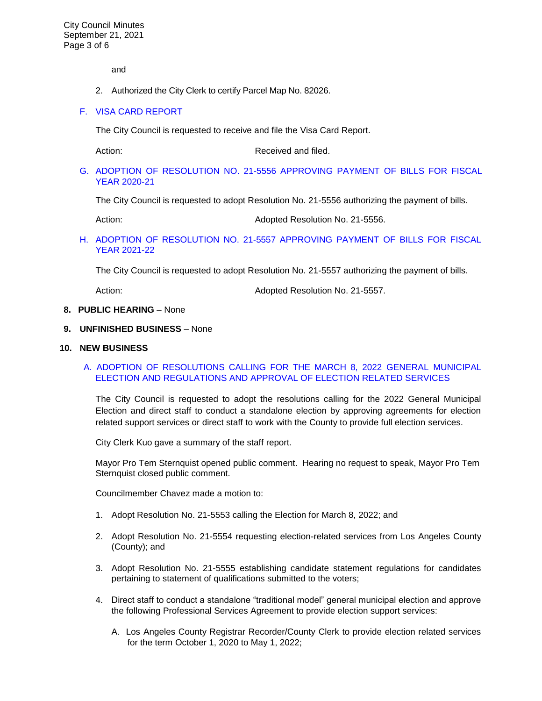and

2. Authorized the City Clerk to certify Parcel Map No. 82026.

## F. [VISA CARD](https://www.ci.temple-city.ca.us/DocumentCenter/View/16766/7E_Visa-Card-Repot-9-21-21) REPORT

The City Council is requested to receive and file the Visa Card Report.

Action: Received and filed.

G. ADOPTION OF RESOLUTION NO. 21-5556 [APPROVING PAYMENT OF BILLS FOR FISCAL](https://www.ci.temple-city.ca.us/DocumentCenter/View/16767/7F_Reso-No-21-5556-092121---Warrants--Demands-FY-2020-2021)  [YEAR 2020-21](https://www.ci.temple-city.ca.us/DocumentCenter/View/16767/7F_Reso-No-21-5556-092121---Warrants--Demands-FY-2020-2021)

The City Council is requested to adopt Resolution No. 21-5556 authorizing the payment of bills.

Action: **Action: Adopted Resolution No. 21-5556.** 

## H. ADOPTION OF RESOLUTION NO. 21-5557 [APPROVING PAYMENT OF BILLS FOR FISCAL](https://www.ci.temple-city.ca.us/DocumentCenter/View/16768/7G_Reso-No-21-5557-092121---Warrants--Demands-FY-2021-2022)  [YEAR 2021-22](https://www.ci.temple-city.ca.us/DocumentCenter/View/16768/7G_Reso-No-21-5557-092121---Warrants--Demands-FY-2021-2022)

The City Council is requested to adopt Resolution No. 21-5557 authorizing the payment of bills.

Action: **Action:** Adopted Resolution No. 21-5557.

#### **8. PUBLIC HEARING** – None

#### **9. UNFINISHED BUSINESS** – None

#### **10. NEW BUSINESS**

# [A. ADOPTION OF RESOLUTIONS CALLING FOR THE MARCH 8, 2022 GENERAL MUNICIPAL](https://www.ci.temple-city.ca.us/DocumentCenter/View/16769/10A_Election_Staff-Report_Resolutions-and-Service-Agreements_v4-CM-comments-2021-09-13_w-all-attachments)  [ELECTION AND REGULATIONS AND APPROVAL OF ELECTION RELATED SERVICES](https://www.ci.temple-city.ca.us/DocumentCenter/View/16769/10A_Election_Staff-Report_Resolutions-and-Service-Agreements_v4-CM-comments-2021-09-13_w-all-attachments)

The City Council is requested to adopt the resolutions calling for the 2022 General Municipal Election and direct staff to conduct a standalone election by approving agreements for election related support services or direct staff to work with the County to provide full election services.

City Clerk Kuo gave a summary of the staff report.

Mayor Pro Tem Sternquist opened public comment. Hearing no request to speak, Mayor Pro Tem Sternquist closed public comment.

Councilmember Chavez made a motion to:

- 1. Adopt Resolution No. 21-5553 calling the Election for March 8, 2022; and
- 2. Adopt Resolution No. 21-5554 requesting election-related services from Los Angeles County (County); and
- 3. Adopt Resolution No. 21-5555 establishing candidate statement regulations for candidates pertaining to statement of qualifications submitted to the voters;
- 4. Direct staff to conduct a standalone "traditional model" general municipal election and approve the following Professional Services Agreement to provide election support services:
	- A. Los Angeles County Registrar Recorder/County Clerk to provide election related services for the term October 1, 2020 to May 1, 2022;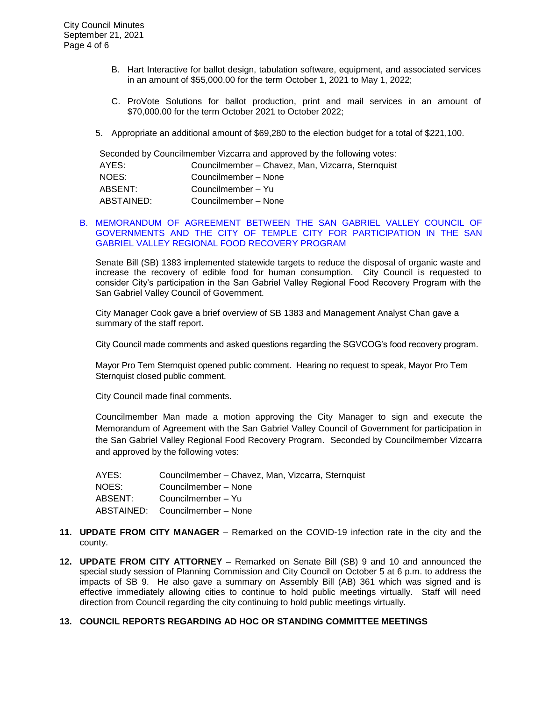- B. Hart Interactive for ballot design, tabulation software, equipment, and associated services in an amount of \$55,000.00 for the term October 1, 2021 to May 1, 2022;
- C. ProVote Solutions for ballot production, print and mail services in an amount of \$70,000.00 for the term October 2021 to October 2022;
- 5. Appropriate an additional amount of \$69,280 to the election budget for a total of \$221,100.

| Seconded by Councilmember Vizcarra and approved by the following votes: |                                                   |  |  |  |
|-------------------------------------------------------------------------|---------------------------------------------------|--|--|--|
| AYES:                                                                   | Councilmember - Chavez, Man, Vizcarra, Sternquist |  |  |  |
| NOES:                                                                   | Councilmember - None                              |  |  |  |
| ABSENT:                                                                 | Councilmember - Yu                                |  |  |  |
| ABSTAINED:                                                              | Councilmember - None                              |  |  |  |

#### [B. MEMORANDUM OF AGREEMENT BETWEEN THE SAN GABRIEL VALLEY COUNCIL OF](https://www.ci.temple-city.ca.us/DocumentCenter/View/16770/10B_Food-Recovery-Program-Staff-Report-w-attachments)  [GOVERNMENTS AND THE CITY OF TEMPLE CITY FOR PARTICIPATION IN THE SAN](https://www.ci.temple-city.ca.us/DocumentCenter/View/16770/10B_Food-Recovery-Program-Staff-Report-w-attachments)  [GABRIEL VALLEY REGIONAL FOOD RECOVERY PROGRAM](https://www.ci.temple-city.ca.us/DocumentCenter/View/16770/10B_Food-Recovery-Program-Staff-Report-w-attachments)

Senate Bill (SB) 1383 implemented statewide targets to reduce the disposal of organic waste and increase the recovery of edible food for human consumption. City Council is requested to consider City's participation in the San Gabriel Valley Regional Food Recovery Program with the San Gabriel Valley Council of Government.

City Manager Cook gave a brief overview of SB 1383 and Management Analyst Chan gave a summary of the staff report.

City Council made comments and asked questions regarding the SGVCOG's food recovery program.

Mayor Pro Tem Sternquist opened public comment. Hearing no request to speak, Mayor Pro Tem Sternquist closed public comment.

City Council made final comments.

Councilmember Man made a motion approving the City Manager to sign and execute the Memorandum of Agreement with the San Gabriel Valley Council of Government for participation in the San Gabriel Valley Regional Food Recovery Program. Seconded by Councilmember Vizcarra and approved by the following votes:

| AYES:   | Councilmember - Chavez, Man, Vizcarra, Sternquist |
|---------|---------------------------------------------------|
| NOES:   | Councilmember – None                              |
| ABSENT: | Councilmember – Yu                                |
|         | ABSTAINED: Councilmember – None                   |

- **11. UPDATE FROM CITY MANAGER** Remarked on the COVID-19 infection rate in the city and the county.
- **12. UPDATE FROM CITY ATTORNEY** Remarked on Senate Bill (SB) 9 and 10 and announced the special study session of Planning Commission and City Council on October 5 at 6 p.m. to address the impacts of SB 9. He also gave a summary on Assembly Bill (AB) 361 which was signed and is effective immediately allowing cities to continue to hold public meetings virtually. Staff will need direction from Council regarding the city continuing to hold public meetings virtually.

### **13. COUNCIL REPORTS REGARDING AD HOC OR STANDING COMMITTEE MEETINGS**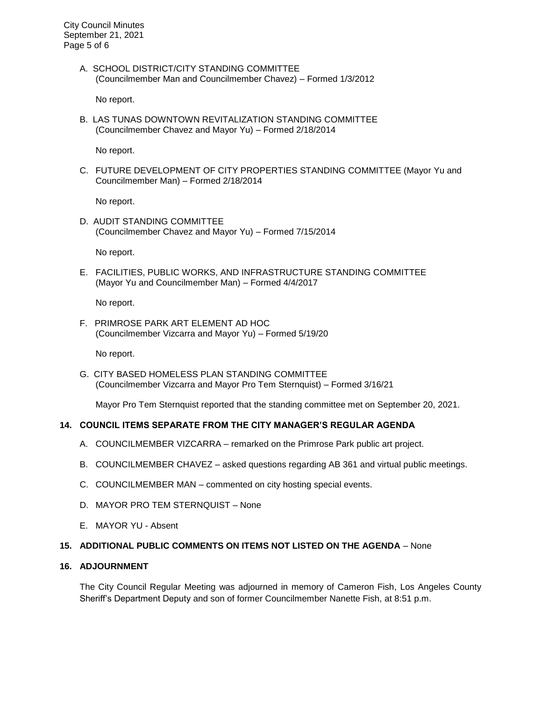City Council Minutes September 21, 2021 Page 5 of 6

> A. SCHOOL DISTRICT/CITY STANDING COMMITTEE (Councilmember Man and Councilmember Chavez) – Formed 1/3/2012

No report.

B. LAS TUNAS DOWNTOWN REVITALIZATION STANDING COMMITTEE (Councilmember Chavez and Mayor Yu) – Formed 2/18/2014

No report.

C. FUTURE DEVELOPMENT OF CITY PROPERTIES STANDING COMMITTEE (Mayor Yu and Councilmember Man) – Formed 2/18/2014

No report.

D. AUDIT STANDING COMMITTEE (Councilmember Chavez and Mayor Yu) – Formed 7/15/2014

No report.

E. FACILITIES, PUBLIC WORKS, AND INFRASTRUCTURE STANDING COMMITTEE (Mayor Yu and Councilmember Man) – Formed 4/4/2017

No report.

F. PRIMROSE PARK ART ELEMENT AD HOC (Councilmember Vizcarra and Mayor Yu) – Formed 5/19/20

No report.

G. CITY BASED HOMELESS PLAN STANDING COMMITTEE (Councilmember Vizcarra and Mayor Pro Tem Sternquist) – Formed 3/16/21

Mayor Pro Tem Sternquist reported that the standing committee met on September 20, 2021.

# **14. COUNCIL ITEMS SEPARATE FROM THE CITY MANAGER'S REGULAR AGENDA**

- A. COUNCILMEMBER VIZCARRA remarked on the Primrose Park public art project.
- B. COUNCILMEMBER CHAVEZ asked questions regarding AB 361 and virtual public meetings.
- C. COUNCILMEMBER MAN commented on city hosting special events.
- D. MAYOR PRO TEM STERNQUIST None
- E. MAYOR YU Absent

## **15. ADDITIONAL PUBLIC COMMENTS ON ITEMS NOT LISTED ON THE AGENDA** – None

# **16. ADJOURNMENT**

The City Council Regular Meeting was adjourned in memory of Cameron Fish, Los Angeles County Sheriff's Department Deputy and son of former Councilmember Nanette Fish, at 8:51 p.m.